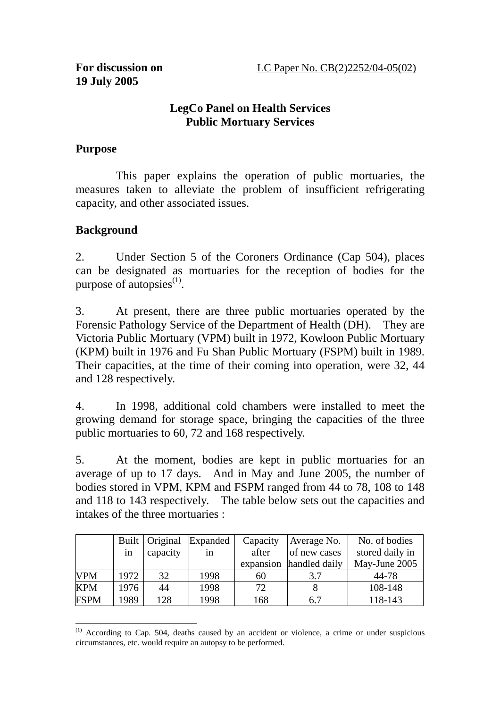### **LegCo Panel on Health Services Public Mortuary Services**

### **Purpose**

 This paper explains the operation of public mortuaries, the measures taken to alleviate the problem of insufficient refrigerating capacity, and other associated issues.

## **Background**

2. Under Section 5 of the Coroners Ordinance (Cap 504), places can be designated as mortuaries for the reception of bodies for the purpose of autopsies $^{(1)}$ .

3. At present, there are three public mortuaries operated by the Forensic Pathology Service of the Department of Health (DH). They are Victoria Public Mortuary (VPM) built in 1972, Kowloon Public Mortuary (KPM) built in 1976 and Fu Shan Public Mortuary (FSPM) built in 1989. Their capacities, at the time of their coming into operation, were 32, 44 and 128 respectively.

4. In 1998, additional cold chambers were installed to meet the growing demand for storage space, bringing the capacities of the three public mortuaries to 60, 72 and 168 respectively.

5. At the moment, bodies are kept in public mortuaries for an average of up to 17 days. And in May and June 2005, the number of bodies stored in VPM, KPM and FSPM ranged from 44 to 78, 108 to 148 and 118 to 143 respectively. The table below sets out the capacities and intakes of the three mortuaries :

|             |      | Built   Original | Expanded | Capacity  | Average No.   | No. of bodies   |
|-------------|------|------------------|----------|-----------|---------------|-----------------|
|             | 1n   | capacity         | 1n       | after     | of new cases  | stored daily in |
|             |      |                  |          | expansion | handled daily | May-June 2005   |
| <b>VPM</b>  | 1972 | 32               | 1998     | 60        | 3.7           | 44-78           |
| <b>KPM</b>  | 1976 | 44               | 1998     | 72        |               | 108-148         |
| <b>FSPM</b> | 1989 | 128              | 1998     | 168       | 6.7           | 118-143         |

 $\overline{a}$  $(1)$  According to Cap. 504, deaths caused by an accident or violence, a crime or under suspicious circumstances, etc. would require an autopsy to be performed.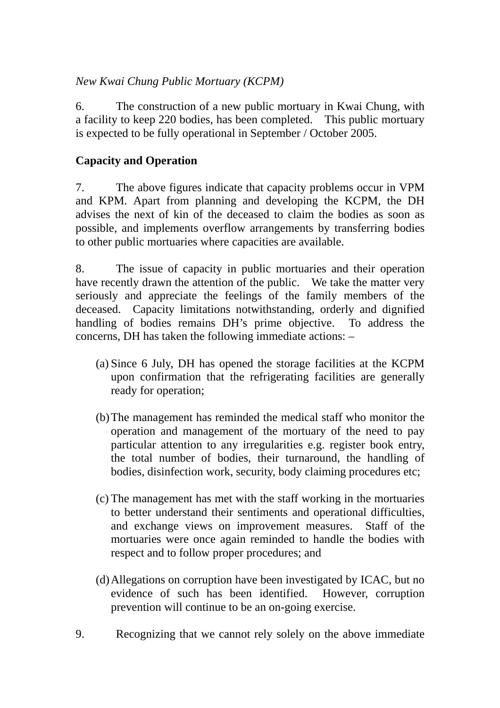## *New Kwai Chung Public Mortuary (KCPM)*

6. The construction of a new public mortuary in Kwai Chung, with a facility to keep 220 bodies, has been completed. This public mortuary is expected to be fully operational in September / October 2005.

# **Capacity and Operation**

7. The above figures indicate that capacity problems occur in VPM and KPM. Apart from planning and developing the KCPM, the DH advises the next of kin of the deceased to claim the bodies as soon as possible, and implements overflow arrangements by transferring bodies to other public mortuaries where capacities are available.

8. The issue of capacity in public mortuaries and their operation have recently drawn the attention of the public. We take the matter very seriously and appreciate the feelings of the family members of the deceased. Capacity limitations notwithstanding, orderly and dignified handling of bodies remains DH's prime objective. To address the concerns, DH has taken the following immediate actions: –

- (a) Since 6 July, DH has opened the storage facilities at the KCPM upon confirmation that the refrigerating facilities are generally ready for operation;
- (b)The management has reminded the medical staff who monitor the operation and management of the mortuary of the need to pay particular attention to any irregularities e.g. register book entry, the total number of bodies, their turnaround, the handling of bodies, disinfection work, security, body claiming procedures etc;
- (c) The management has met with the staff working in the mortuaries to better understand their sentiments and operational difficulties, and exchange views on improvement measures. Staff of the mortuaries were once again reminded to handle the bodies with respect and to follow proper procedures; and
- (d)Allegations on corruption have been investigated by ICAC, but no evidence of such has been identified. However, corruption prevention will continue to be an on-going exercise.
- 9. Recognizing that we cannot rely solely on the above immediate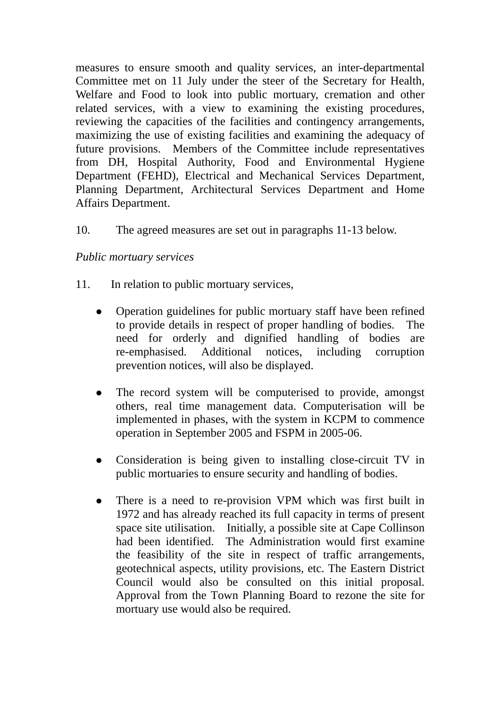measures to ensure smooth and quality services, an inter-departmental Committee met on 11 July under the steer of the Secretary for Health, Welfare and Food to look into public mortuary, cremation and other related services, with a view to examining the existing procedures, reviewing the capacities of the facilities and contingency arrangements, maximizing the use of existing facilities and examining the adequacy of future provisions. Members of the Committee include representatives from DH, Hospital Authority, Food and Environmental Hygiene Department (FEHD), Electrical and Mechanical Services Department, Planning Department, Architectural Services Department and Home Affairs Department.

10. The agreed measures are set out in paragraphs 11-13 below.

### *Public mortuary services*

- 11. In relation to public mortuary services,
	- Operation guidelines for public mortuary staff have been refined to provide details in respect of proper handling of bodies. The need for orderly and dignified handling of bodies are re-emphasised. Additional notices, including corruption prevention notices, will also be displayed.
	- ! The record system will be computerised to provide, amongst others, real time management data. Computerisation will be implemented in phases, with the system in KCPM to commence operation in September 2005 and FSPM in 2005-06.
	- Consideration is being given to installing close-circuit TV in public mortuaries to ensure security and handling of bodies.
	- There is a need to re-provision VPM which was first built in 1972 and has already reached its full capacity in terms of present space site utilisation. Initially, a possible site at Cape Collinson had been identified. The Administration would first examine the feasibility of the site in respect of traffic arrangements, geotechnical aspects, utility provisions, etc. The Eastern District Council would also be consulted on this initial proposal. Approval from the Town Planning Board to rezone the site for mortuary use would also be required.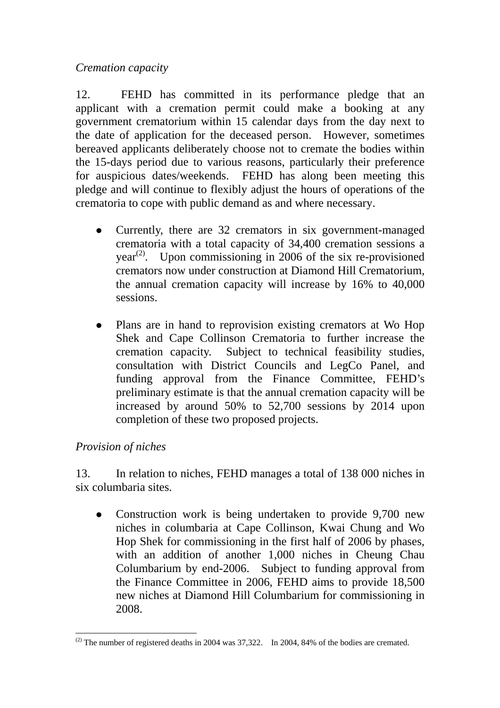*Cremation capacity* 

12. FEHD has committed in its performance pledge that an applicant with a cremation permit could make a booking at any government crematorium within 15 calendar days from the day next to the date of application for the deceased person. However, sometimes bereaved applicants deliberately choose not to cremate the bodies within the 15-days period due to various reasons, particularly their preference for auspicious dates/weekends. FEHD has along been meeting this pledge and will continue to flexibly adjust the hours of operations of the crematoria to cope with public demand as and where necessary.

- Currently, there are 32 cremators in six government-managed crematoria with a total capacity of 34,400 cremation sessions a year<sup> $(2)$ </sup>. Upon commissioning in 2006 of the six re-provisioned cremators now under construction at Diamond Hill Crematorium, the annual cremation capacity will increase by 16% to 40,000 sessions.
- Plans are in hand to reprovision existing cremators at Wo Hop Shek and Cape Collinson Crematoria to further increase the cremation capacity. Subject to technical feasibility studies, consultation with District Councils and LegCo Panel, and funding approval from the Finance Committee, FEHD's preliminary estimate is that the annual cremation capacity will be increased by around 50% to 52,700 sessions by 2014 upon completion of these two proposed projects.

## *Provision of niches*

 $\overline{a}$ 

13. In relation to niches, FEHD manages a total of 138 000 niches in six columbaria sites.

• Construction work is being undertaken to provide 9,700 new niches in columbaria at Cape Collinson, Kwai Chung and Wo Hop Shek for commissioning in the first half of 2006 by phases, with an addition of another 1,000 niches in Cheung Chau Columbarium by end-2006. Subject to funding approval from the Finance Committee in 2006, FEHD aims to provide 18,500 new niches at Diamond Hill Columbarium for commissioning in 2008.

 $^{(2)}$  The number of registered deaths in 2004 was 37,322. In 2004, 84% of the bodies are cremated.